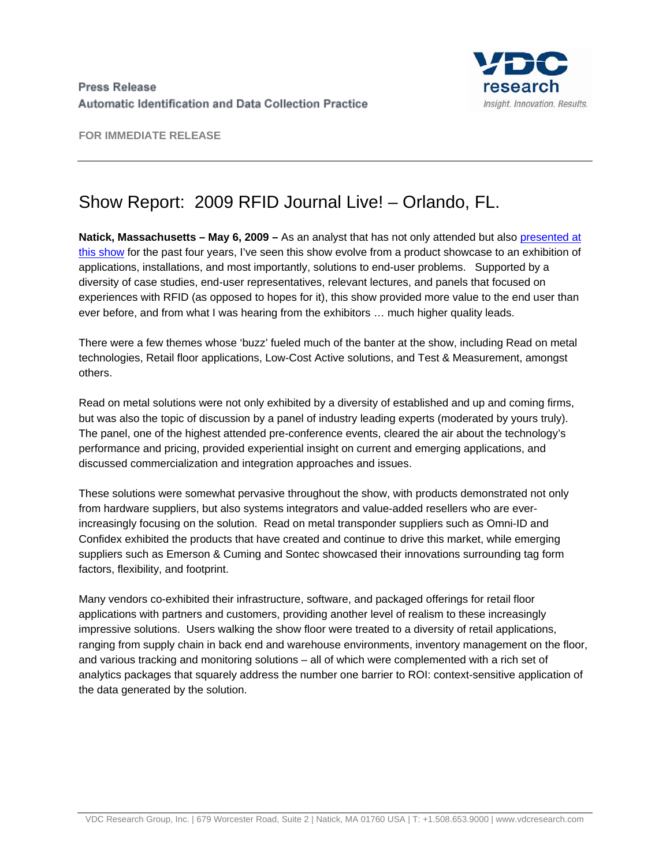

**FOR IMMEDIATE RELEASE** 

## Show Report: 2009 RFID Journal Live! – Orlando, FL.

**Natick, Massachusetts – May 6, 2009 –** As an analyst that has not only attended but also [presented at](http://www.vdcresearch.com/misc/VDC%20Presentation%202009%20RFID%20Journal%20Live.ppt)  [this show](http://www.vdcresearch.com/misc/VDC%20Presentation%202009%20RFID%20Journal%20Live.ppt) for the past four years, I've seen this show evolve from a product showcase to an exhibition of applications, installations, and most importantly, solutions to end-user problems. Supported by a diversity of case studies, end-user representatives, relevant lectures, and panels that focused on experiences with RFID (as opposed to hopes for it), this show provided more value to the end user than ever before, and from what I was hearing from the exhibitors … much higher quality leads.

There were a few themes whose 'buzz' fueled much of the banter at the show, including Read on metal technologies, Retail floor applications, Low-Cost Active solutions, and Test & Measurement, amongst others.

Read on metal solutions were not only exhibited by a diversity of established and up and coming firms, but was also the topic of discussion by a panel of industry leading experts (moderated by yours truly). The panel, one of the highest attended pre-conference events, cleared the air about the technology's performance and pricing, provided experiential insight on current and emerging applications, and discussed commercialization and integration approaches and issues.

These solutions were somewhat pervasive throughout the show, with products demonstrated not only from hardware suppliers, but also systems integrators and value-added resellers who are everincreasingly focusing on the solution. Read on metal transponder suppliers such as Omni-ID and Confidex exhibited the products that have created and continue to drive this market, while emerging suppliers such as Emerson & Cuming and Sontec showcased their innovations surrounding tag form factors, flexibility, and footprint.

Many vendors co-exhibited their infrastructure, software, and packaged offerings for retail floor applications with partners and customers, providing another level of realism to these increasingly impressive solutions. Users walking the show floor were treated to a diversity of retail applications, ranging from supply chain in back end and warehouse environments, inventory management on the floor, and various tracking and monitoring solutions – all of which were complemented with a rich set of analytics packages that squarely address the number one barrier to ROI: context-sensitive application of the data generated by the solution.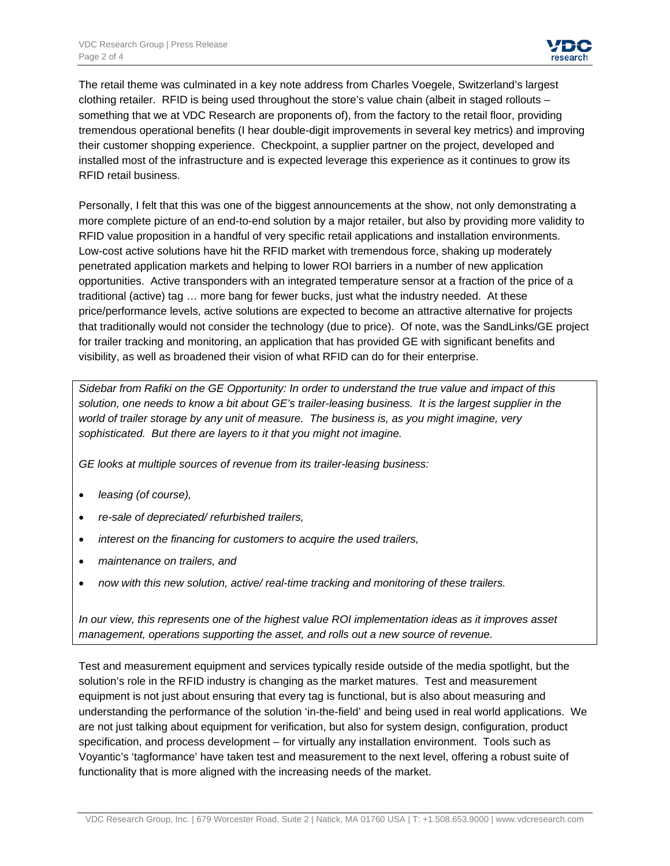The retail theme was culminated in a key note address from Charles Voegele, Switzerland's largest clothing retailer. RFID is being used throughout the store's value chain (albeit in staged rollouts – something that we at VDC Research are proponents of), from the factory to the retail floor, providing tremendous operational benefits (I hear double-digit improvements in several key metrics) and improving their customer shopping experience. Checkpoint, a supplier partner on the project, developed and installed most of the infrastructure and is expected leverage this experience as it continues to grow its RFID retail business.

Personally, I felt that this was one of the biggest announcements at the show, not only demonstrating a more complete picture of an end-to-end solution by a major retailer, but also by providing more validity to RFID value proposition in a handful of very specific retail applications and installation environments. Low-cost active solutions have hit the RFID market with tremendous force, shaking up moderately penetrated application markets and helping to lower ROI barriers in a number of new application opportunities. Active transponders with an integrated temperature sensor at a fraction of the price of a traditional (active) tag … more bang for fewer bucks, just what the industry needed. At these price/performance levels, active solutions are expected to become an attractive alternative for projects that traditionally would not consider the technology (due to price). Of note, was the SandLinks/GE project for trailer tracking and monitoring, an application that has provided GE with significant benefits and visibility, as well as broadened their vision of what RFID can do for their enterprise.

*Sidebar from Rafiki on the GE Opportunity: In order to understand the true value and impact of this solution, one needs to know a bit about GE's trailer-leasing business. It is the largest supplier in the world of trailer storage by any unit of measure. The business is, as you might imagine, very sophisticated. But there are layers to it that you might not imagine.* 

*GE looks at multiple sources of revenue from its trailer-leasing business:* 

- *leasing (of course),*
- *re-sale of depreciated/ refurbished trailers,*
- *interest on the financing for customers to acquire the used trailers,*
- *maintenance on trailers, and*
- *now with this new solution, active/ real-time tracking and monitoring of these trailers.*

*In our view, this represents one of the highest value ROI implementation ideas as it improves asset management, operations supporting the asset, and rolls out a new source of revenue.* 

Test and measurement equipment and services typically reside outside of the media spotlight, but the solution's role in the RFID industry is changing as the market matures. Test and measurement equipment is not just about ensuring that every tag is functional, but is also about measuring and understanding the performance of the solution 'in-the-field' and being used in real world applications. We are not just talking about equipment for verification, but also for system design, configuration, product specification, and process development – for virtually any installation environment. Tools such as Voyantic's 'tagformance' have taken test and measurement to the next level, offering a robust suite of functionality that is more aligned with the increasing needs of the market.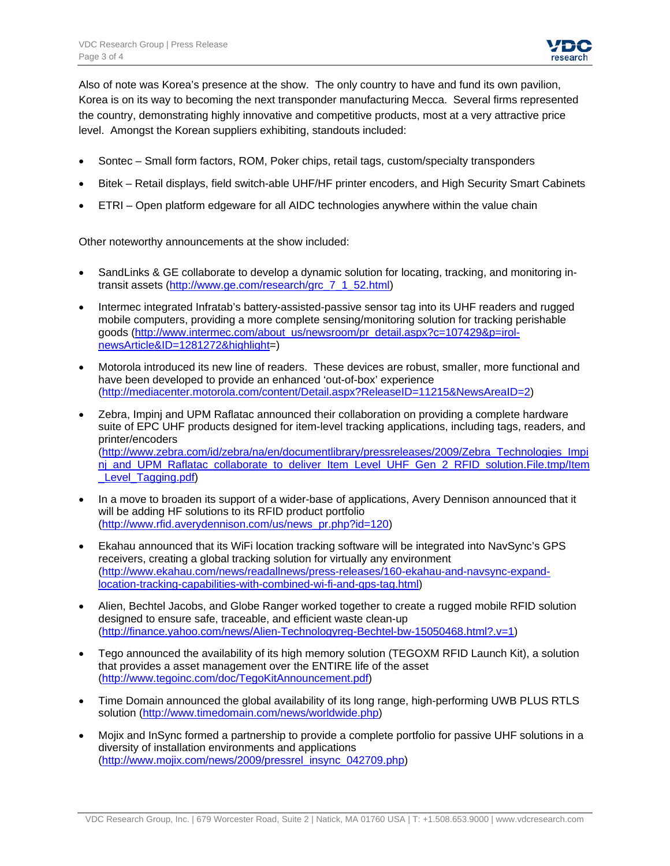

Also of note was Korea's presence at the show. The only country to have and fund its own pavilion, Korea is on its way to becoming the next transponder manufacturing Mecca. Several firms represented the country, demonstrating highly innovative and competitive products, most at a very attractive price level. Amongst the Korean suppliers exhibiting, standouts included:

- Sontec Small form factors, ROM, Poker chips, retail tags, custom/specialty transponders
- Bitek Retail displays, field switch-able UHF/HF printer encoders, and High Security Smart Cabinets
- ETRI Open platform edgeware for all AIDC technologies anywhere within the value chain

Other noteworthy announcements at the show included:

- SandLinks & GE collaborate to develop a dynamic solution for locating, tracking, and monitoring intransit assets [\(http://www.ge.com/research/grc\\_7\\_1\\_52.html](http://www.ge.com/research/grc_7_1_52.html))
- Intermec integrated Infratab's battery-assisted-passive sensor tag into its UHF readers and rugged mobile computers, providing a more complete sensing/monitoring solution for tracking perishable goods [\(http://www.intermec.com/about\\_us/newsroom/pr\\_detail.aspx?c=107429&p=irol](http://www.intermec.com/about_us/newsroom/pr_detail.aspx?c=107429&p=irol-newsArticle&ID=1281272&highlight)[newsArticle&ID=1281272&highlight=](http://www.intermec.com/about_us/newsroom/pr_detail.aspx?c=107429&p=irol-newsArticle&ID=1281272&highlight))
- Motorola introduced its new line of readers. These devices are robust, smaller, more functional and have been developed to provide an enhanced 'out-of-box' experience [\(http://mediacenter.motorola.com/content/Detail.aspx?ReleaseID=11215&NewsAreaID=2\)](http://mediacenter.motorola.com/content/Detail.aspx?ReleaseID=11215&NewsAreaID=2)
- Zebra, Impinj and UPM Raflatac announced their collaboration on providing a complete hardware suite of EPC UHF products designed for item-level tracking applications, including tags, readers, and printer/encoders [\(http://www.zebra.com/id/zebra/na/en/documentlibrary/pressreleases/2009/Zebra\\_Technologies\\_Impi](http://www.zebra.com/id/zebra/na/en/documentlibrary/pressreleases/2009/Zebra_Technologies_Impinj_and_UPM_Raflatac_collaborate_to_deliver_Item_Level_UHF_Gen_2_RFID_solution.File.tmp/Item_Level_Tagging.pdf) ni and UPM\_Raflatac\_collaborate\_to\_deliver\_Item\_Level\_UHF\_Gen\_2\_RFID\_solution.File.tmp/Item Level Tagging.pdf)
- In a move to broaden its support of a wider-base of applications, Avery Dennison announced that it will be adding HF solutions to its RFID product portfolio [\(http://www.rfid.averydennison.com/us/news\\_pr.php?id=120](http://www.rfid.averydennison.com/us/news_pr.php?id=120))
- Ekahau announced that its WiFi location tracking software will be integrated into NavSync's GPS receivers, creating a global tracking solution for virtually any environment [\(http://www.ekahau.com/news/readallnews/press-releases/160-ekahau-and-navsync-expand](http://www.ekahau.com/news/readallnews/press-releases/160-ekahau-and-navsync-expand-location-tracking-capabilities-with-combined-wi-fi-and-gps-tag.html)[location-tracking-capabilities-with-combined-wi-fi-and-gps-tag.html\)](http://www.ekahau.com/news/readallnews/press-releases/160-ekahau-and-navsync-expand-location-tracking-capabilities-with-combined-wi-fi-and-gps-tag.html)
- Alien, Bechtel Jacobs, and Globe Ranger worked together to create a rugged mobile RFID solution designed to ensure safe, traceable, and efficient waste clean-up [\(http://finance.yahoo.com/news/Alien-Technologyreg-Bechtel-bw-15050468.html?.v=1\)](http://finance.yahoo.com/news/Alien-Technologyreg-Bechtel-bw-15050468.html?.v=1)
- Tego announced the availability of its high memory solution (TEGOXM RFID Launch Kit), a solution that provides a asset management over the ENTIRE life of the asset [\(http://www.tegoinc.com/doc/TegoKitAnnouncement.pdf\)](http://www.tegoinc.com/doc/TegoKitAnnouncement.pdf)
- Time Domain announced the global availability of its long range, high-performing UWB PLUS RTLS solution (<http://www.timedomain.com/news/worldwide.php>)
- Mojix and InSync formed a partnership to provide a complete portfolio for passive UHF solutions in a diversity of installation environments and applications [\(http://www.mojix.com/news/2009/pressrel\\_insync\\_042709.php\)](http://www.mojix.com/news/2009/pressrel_insync_042709.php)